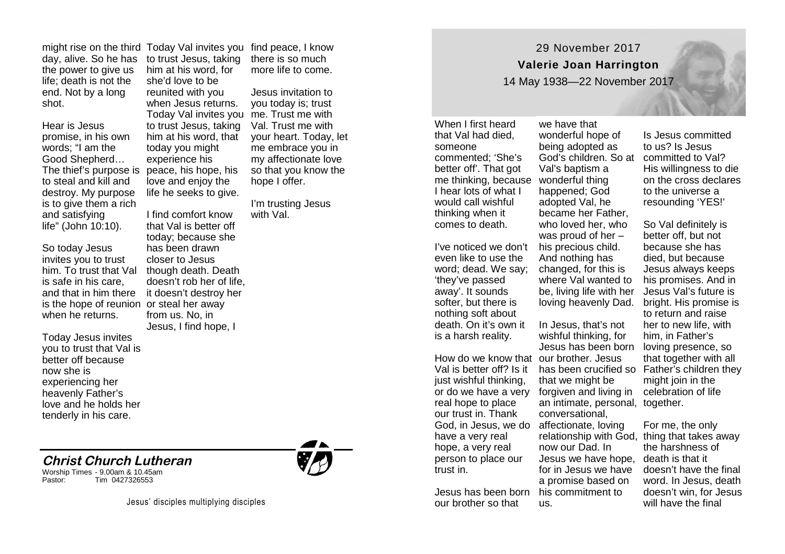might rise on the third Today Val invites you day, alive. So he has the power to give us life; death is not the end. Not by a long shot.

Hear is Jesus promise, in his own words; "I am the Good Shepherd… The thief's purpose is to steal and kill and destroy. My purpose is to give them a rich and satisfying life" (John 10:10).

So today Jesus invites you to trust him. To trust that Val is safe in his care, and that in him there it doesn't destroy her is the hope of reunion or steal her away when he returns.

Today Jesus invites you to trust that Val is better off because now she is experiencing her heavenly Father's love and he holds her tenderly in his care.

## **Christ Church Lutheran**

Worship Times - 9.00am & 10.45am Tim 0427326553



I find comfort know that Val is better off today; because she has been drawn closer to Jesus though death. Death doesn't rob her of life, from us. No, in Jesus, I find hope, I

find peace, I know there is so much more life to come.

Jesus invitation to you today is; trust me. Trust me with Val. Trust me with your heart. Today, let me embrace you in my affectionate love so that you know the hope I offer.

I'm trusting Jesus with Val.

29 November 2017 **Valerie Joan Harrington**

14 May 1938—22 November 2017

When I first heard that Val had died, someone commented; 'She's better off'. That got me thinking, because wonderful thing I hear lots of what I would call wishful thinking when it comes to death.

I've noticed we don't even like to use the word; dead. We say; 'they've passed away'. It sounds softer, but there is nothing soft about death. On it's own it is a harsh reality.

How do we know that our brother. Jesus just wishful thinking, real hope to place our trust in. Thank God, in Jesus, we do affectionate, loving have a very real hope, a very real person to place our trust in.

our brother so that

we have that wonderful hope of being adopted as God's children. So at committed to Val? Val's baptism a happened; God adopted Val, he became her Father, who loved her, who was proud of her – his precious child. And nothing has changed, for this is where Val wanted to be, living life with her

Val is better off? Is it has been crucified so Father's children they or do we have a very forgiven and living in ce Jesus has been born his commitment to In Jesus, that's not wishful thinking, for Jesus has been born that we might be an intimate, personal, together. conversational, relationship with God, thing that takes away now our Dad. In Jesus we have hope, for in Jesus we have a promise based on us.

Is Jesus committed to us? Is Jesus His willingness to die on the cross declares to the universe a resounding 'YES!'

loving heavenly Dad. bright. His promise is So Val definitely is better off, but not because she has died, but because Jesus always keeps his promises. And in Jesus Val's future is to return and raise her to new life, with him, in Father's loving presence, so that together with all might join in the celebration of life

> For me, the only the harshness of death is that it doesn't have the final word. In Jesus, death doesn't win, for Jesus will have the final



Jesus' disciples multiplying disciples